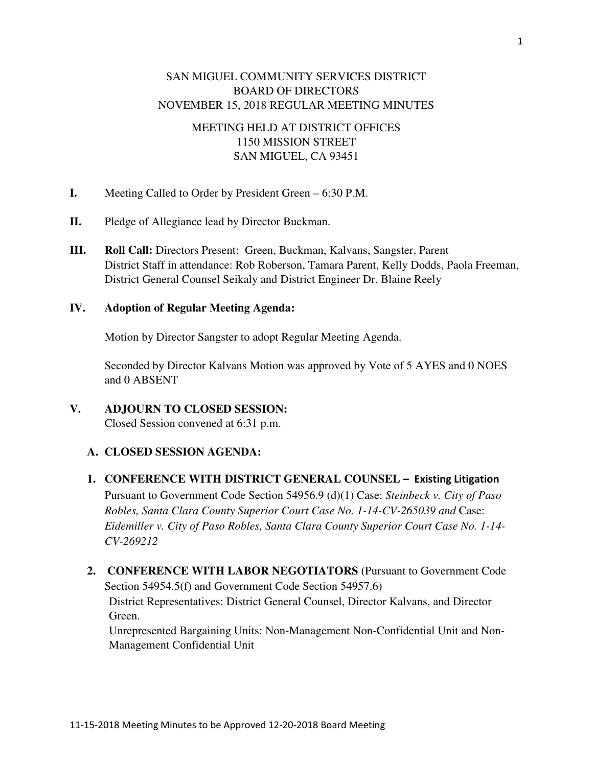# SAN MIGUEL COMMUNITY SERVICES DISTRICT BOARD OF DIRECTORS NOVEMBER 15, 2018 REGULAR MEETING MINUTES

# MEETING HELD AT DISTRICT OFFICES 1150 MISSION STREET SAN MIGUEL, CA 93451

- **I.** Meeting Called to Order by President Green 6:30 P.M.
- **II.** Pledge of Allegiance lead by Director Buckman.
- **III. Roll Call:** Directors Present: Green, Buckman, Kalvans, Sangster, Parent District Staff in attendance: Rob Roberson, Tamara Parent, Kelly Dodds, Paola Freeman, District General Counsel Seikaly and District Engineer Dr. Blaine Reely

### **IV. Adoption of Regular Meeting Agenda:**

Motion by Director Sangster to adopt Regular Meeting Agenda.

Seconded by Director Kalvans Motion was approved by Vote of 5 AYES and 0 NOES and 0 ABSENT

## **V. ADJOURN TO CLOSED SESSION:**  Closed Session convened at 6:31 p.m.

## **A. CLOSED SESSION AGENDA:**

## 1. CONFERENCE WITH DISTRICT GENERAL COUNSEL - Existing Litigation

Pursuant to Government Code Section 54956.9 (d)(1) Case: *Steinbeck v. City of Paso Robles, Santa Clara County Superior Court Case No. 1-14-CV-265039 and* Case: *Eidemiller v. City of Paso Robles, Santa Clara County Superior Court Case No. 1-14- CV-269212* 

**2. CONFERENCE WITH LABOR NEGOTIATORS** (Pursuant to Government Code Section 54954.5(f) and Government Code Section 54957.6)

District Representatives: District General Counsel, Director Kalvans, and Director Green.

Unrepresented Bargaining Units: Non-Management Non-Confidential Unit and Non-Management Confidential Unit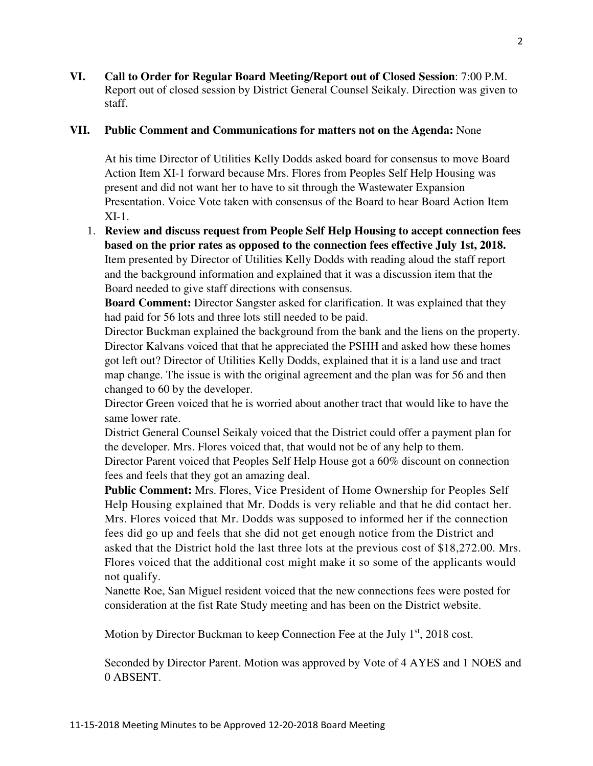**VI. Call to Order for Regular Board Meeting/Report out of Closed Session**: 7:00 P.M. Report out of closed session by District General Counsel Seikaly. Direction was given to staff.

### **VII. Public Comment and Communications for matters not on the Agenda:** None

At his time Director of Utilities Kelly Dodds asked board for consensus to move Board Action Item XI-1 forward because Mrs. Flores from Peoples Self Help Housing was present and did not want her to have to sit through the Wastewater Expansion Presentation. Voice Vote taken with consensus of the Board to hear Board Action Item XI-1.

1. **Review and discuss request from People Self Help Housing to accept connection fees based on the prior rates as opposed to the connection fees effective July 1st, 2018.**  Item presented by Director of Utilities Kelly Dodds with reading aloud the staff report and the background information and explained that it was a discussion item that the Board needed to give staff directions with consensus.

**Board Comment:** Director Sangster asked for clarification. It was explained that they had paid for 56 lots and three lots still needed to be paid.

Director Buckman explained the background from the bank and the liens on the property. Director Kalvans voiced that that he appreciated the PSHH and asked how these homes got left out? Director of Utilities Kelly Dodds, explained that it is a land use and tract map change. The issue is with the original agreement and the plan was for 56 and then changed to 60 by the developer.

Director Green voiced that he is worried about another tract that would like to have the same lower rate.

District General Counsel Seikaly voiced that the District could offer a payment plan for the developer. Mrs. Flores voiced that, that would not be of any help to them.

Director Parent voiced that Peoples Self Help House got a 60% discount on connection fees and feels that they got an amazing deal.

**Public Comment:** Mrs. Flores, Vice President of Home Ownership for Peoples Self Help Housing explained that Mr. Dodds is very reliable and that he did contact her. Mrs. Flores voiced that Mr. Dodds was supposed to informed her if the connection fees did go up and feels that she did not get enough notice from the District and asked that the District hold the last three lots at the previous cost of \$18,272.00. Mrs. Flores voiced that the additional cost might make it so some of the applicants would not qualify.

Nanette Roe, San Miguel resident voiced that the new connections fees were posted for consideration at the fist Rate Study meeting and has been on the District website.

Motion by Director Buckman to keep Connection Fee at the July  $1<sup>st</sup>$ , 2018 cost.

Seconded by Director Parent. Motion was approved by Vote of 4 AYES and 1 NOES and 0 ABSENT.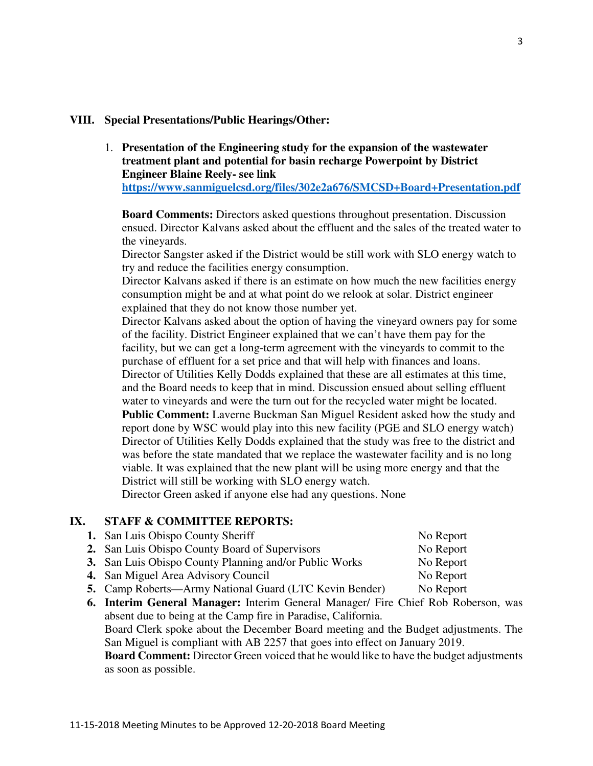### **VIII. Special Presentations/Public Hearings/Other:**

1. **Presentation of the Engineering study for the expansion of the wastewater treatment plant and potential for basin recharge Powerpoint by District Engineer Blaine Reely- see link** 

**https://www.sanmiguelcsd.org/files/302e2a676/SMCSD+Board+Presentation.pdf**

**Board Comments:** Directors asked questions throughout presentation. Discussion ensued. Director Kalvans asked about the effluent and the sales of the treated water to the vineyards.

Director Sangster asked if the District would be still work with SLO energy watch to try and reduce the facilities energy consumption.

Director Kalvans asked if there is an estimate on how much the new facilities energy consumption might be and at what point do we relook at solar. District engineer explained that they do not know those number yet.

Director Kalvans asked about the option of having the vineyard owners pay for some of the facility. District Engineer explained that we can't have them pay for the facility, but we can get a long-term agreement with the vineyards to commit to the purchase of effluent for a set price and that will help with finances and loans. Director of Utilities Kelly Dodds explained that these are all estimates at this time, and the Board needs to keep that in mind. Discussion ensued about selling effluent water to vineyards and were the turn out for the recycled water might be located. **Public Comment:** Laverne Buckman San Miguel Resident asked how the study and report done by WSC would play into this new facility (PGE and SLO energy watch) Director of Utilities Kelly Dodds explained that the study was free to the district and was before the state mandated that we replace the wastewater facility and is no long viable. It was explained that the new plant will be using more energy and that the District will still be working with SLO energy watch.

Director Green asked if anyone else had any questions. None

## **IX. STAFF & COMMITTEE REPORTS:**

| <b>1.</b> San Luis Obispo County Sheriff                      | No Report |
|---------------------------------------------------------------|-----------|
| <b>2.</b> San Luis Obispo County Board of Supervisors         | No Report |
| <b>3.</b> San Luis Obispo County Planning and/or Public Works | No Report |

- **4.** San Miguel Area Advisory Council No Report
- **5.** Camp Roberts—Army National Guard (LTC Kevin Bender) No Report
- **6. Interim General Manager:** Interim General Manager/ Fire Chief Rob Roberson, was absent due to being at the Camp fire in Paradise, California. Board Clerk spoke about the December Board meeting and the Budget adjustments. The San Miguel is compliant with AB 2257 that goes into effect on January 2019. **Board Comment:** Director Green voiced that he would like to have the budget adjustments as soon as possible.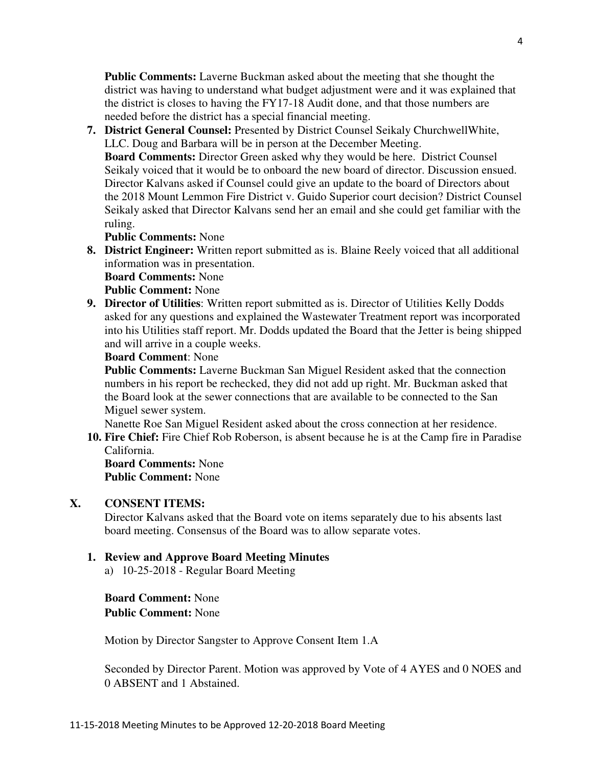**Public Comments:** Laverne Buckman asked about the meeting that she thought the district was having to understand what budget adjustment were and it was explained that the district is closes to having the FY17-18 Audit done, and that those numbers are needed before the district has a special financial meeting.

**7. District General Counsel:** Presented by District Counsel Seikaly ChurchwellWhite, LLC. Doug and Barbara will be in person at the December Meeting. **Board Comments:** Director Green asked why they would be here. District Counsel Seikaly voiced that it would be to onboard the new board of director. Discussion ensued. Director Kalvans asked if Counsel could give an update to the board of Directors about the 2018 Mount Lemmon Fire District v. Guido Superior court decision? District Counsel Seikaly asked that Director Kalvans send her an email and she could get familiar with the ruling.

**Public Comments:** None

**8. District Engineer:** Written report submitted as is. Blaine Reely voiced that all additional information was in presentation.

**Board Comments:** None **Public Comment:** None

**9. Director of Utilities**: Written report submitted as is. Director of Utilities Kelly Dodds asked for any questions and explained the Wastewater Treatment report was incorporated into his Utilities staff report. Mr. Dodds updated the Board that the Jetter is being shipped and will arrive in a couple weeks.

### **Board Comment**: None

**Public Comments:** Laverne Buckman San Miguel Resident asked that the connection numbers in his report be rechecked, they did not add up right. Mr. Buckman asked that the Board look at the sewer connections that are available to be connected to the San Miguel sewer system.

Nanette Roe San Miguel Resident asked about the cross connection at her residence.

**10. Fire Chief:** Fire Chief Rob Roberson, is absent because he is at the Camp fire in Paradise California.

**Board Comments:** None **Public Comment:** None

### **X. CONSENT ITEMS:**

Director Kalvans asked that the Board vote on items separately due to his absents last board meeting. Consensus of the Board was to allow separate votes.

### **1. Review and Approve Board Meeting Minutes**

a) 10-25-2018 - Regular Board Meeting

**Board Comment:** None **Public Comment:** None

Motion by Director Sangster to Approve Consent Item 1.A

Seconded by Director Parent. Motion was approved by Vote of 4 AYES and 0 NOES and 0 ABSENT and 1 Abstained.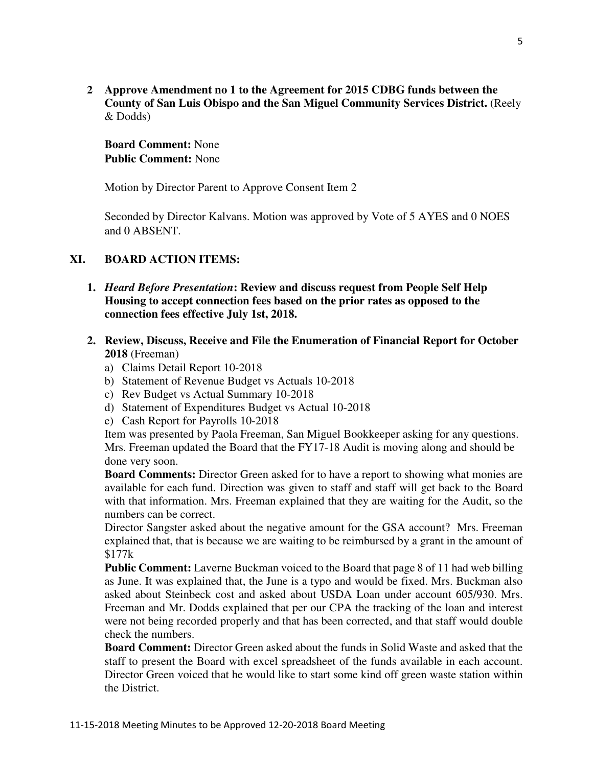**2 Approve Amendment no 1 to the Agreement for 2015 CDBG funds between the County of San Luis Obispo and the San Miguel Community Services District.** (Reely & Dodds)

**Board Comment:** None **Public Comment:** None

Motion by Director Parent to Approve Consent Item 2

Seconded by Director Kalvans. Motion was approved by Vote of 5 AYES and 0 NOES and 0 ABSENT.

## **XI. BOARD ACTION ITEMS:**

- **1.** *Heard Before Presentation***: Review and discuss request from People Self Help Housing to accept connection fees based on the prior rates as opposed to the connection fees effective July 1st, 2018.**
- **2. Review, Discuss, Receive and File the Enumeration of Financial Report for October 2018** (Freeman)
	- a) Claims Detail Report 10-2018
	- b) Statement of Revenue Budget vs Actuals 10-2018
	- c) Rev Budget vs Actual Summary 10-2018
	- d) Statement of Expenditures Budget vs Actual 10-2018
	- e) Cash Report for Payrolls 10-2018

Item was presented by Paola Freeman, San Miguel Bookkeeper asking for any questions. Mrs. Freeman updated the Board that the FY17-18 Audit is moving along and should be done very soon.

**Board Comments:** Director Green asked for to have a report to showing what monies are available for each fund. Direction was given to staff and staff will get back to the Board with that information. Mrs. Freeman explained that they are waiting for the Audit, so the numbers can be correct.

Director Sangster asked about the negative amount for the GSA account? Mrs. Freeman explained that, that is because we are waiting to be reimbursed by a grant in the amount of \$177k

**Public Comment:** Laverne Buckman voiced to the Board that page 8 of 11 had web billing as June. It was explained that, the June is a typo and would be fixed. Mrs. Buckman also asked about Steinbeck cost and asked about USDA Loan under account 605/930. Mrs. Freeman and Mr. Dodds explained that per our CPA the tracking of the loan and interest were not being recorded properly and that has been corrected, and that staff would double check the numbers.

**Board Comment:** Director Green asked about the funds in Solid Waste and asked that the staff to present the Board with excel spreadsheet of the funds available in each account. Director Green voiced that he would like to start some kind off green waste station within the District.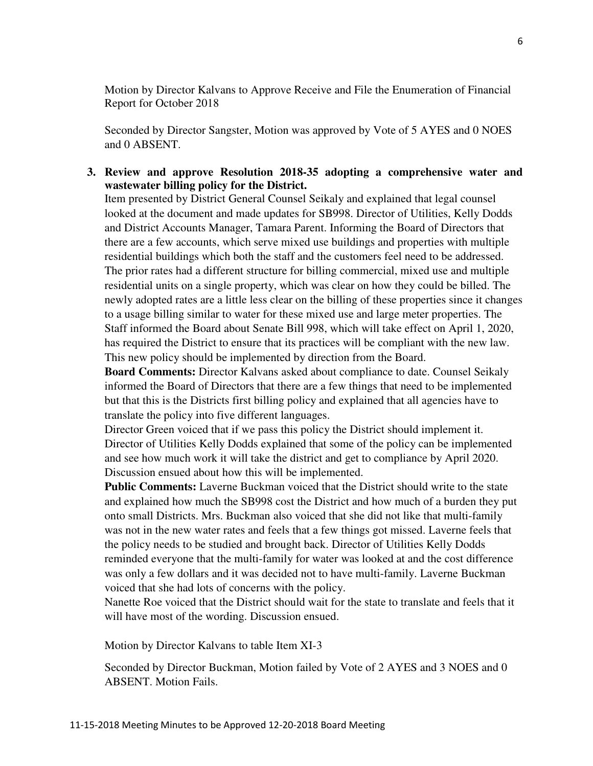Motion by Director Kalvans to Approve Receive and File the Enumeration of Financial Report for October 2018

Seconded by Director Sangster, Motion was approved by Vote of 5 AYES and 0 NOES and 0 ABSENT.

### **3. Review and approve Resolution 2018-35 adopting a comprehensive water and wastewater billing policy for the District.**

Item presented by District General Counsel Seikaly and explained that legal counsel looked at the document and made updates for SB998. Director of Utilities, Kelly Dodds and District Accounts Manager, Tamara Parent. Informing the Board of Directors that there are a few accounts, which serve mixed use buildings and properties with multiple residential buildings which both the staff and the customers feel need to be addressed. The prior rates had a different structure for billing commercial, mixed use and multiple residential units on a single property, which was clear on how they could be billed. The newly adopted rates are a little less clear on the billing of these properties since it changes to a usage billing similar to water for these mixed use and large meter properties. The Staff informed the Board about Senate Bill 998, which will take effect on April 1, 2020, has required the District to ensure that its practices will be compliant with the new law. This new policy should be implemented by direction from the Board.

**Board Comments:** Director Kalvans asked about compliance to date. Counsel Seikaly informed the Board of Directors that there are a few things that need to be implemented but that this is the Districts first billing policy and explained that all agencies have to translate the policy into five different languages.

Director Green voiced that if we pass this policy the District should implement it. Director of Utilities Kelly Dodds explained that some of the policy can be implemented and see how much work it will take the district and get to compliance by April 2020. Discussion ensued about how this will be implemented.

**Public Comments:** Laverne Buckman voiced that the District should write to the state and explained how much the SB998 cost the District and how much of a burden they put onto small Districts. Mrs. Buckman also voiced that she did not like that multi-family was not in the new water rates and feels that a few things got missed. Laverne feels that the policy needs to be studied and brought back. Director of Utilities Kelly Dodds reminded everyone that the multi-family for water was looked at and the cost difference was only a few dollars and it was decided not to have multi-family. Laverne Buckman voiced that she had lots of concerns with the policy.

Nanette Roe voiced that the District should wait for the state to translate and feels that it will have most of the wording. Discussion ensued.

Motion by Director Kalvans to table Item XI-3

Seconded by Director Buckman, Motion failed by Vote of 2 AYES and 3 NOES and 0 ABSENT. Motion Fails.